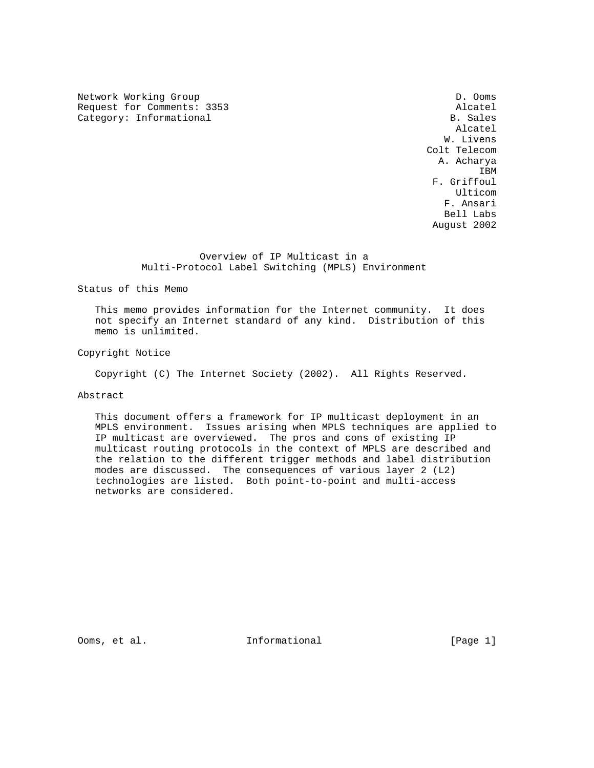Network Working Group Decomposition of the United States of D. Ooms Request for Comments: 3353 Alcatel Category: Informational

 Alcatel W. Livens Colt Telecom A. Acharya **IBM IBM**  F. Griffoul Ulticom F. Ansari Bell Labs August 2002

## Overview of IP Multicast in a Multi-Protocol Label Switching (MPLS) Environment

Status of this Memo

 This memo provides information for the Internet community. It does not specify an Internet standard of any kind. Distribution of this memo is unlimited.

Copyright Notice

Copyright (C) The Internet Society (2002). All Rights Reserved.

## Abstract

 This document offers a framework for IP multicast deployment in an MPLS environment. Issues arising when MPLS techniques are applied to IP multicast are overviewed. The pros and cons of existing IP multicast routing protocols in the context of MPLS are described and the relation to the different trigger methods and label distribution modes are discussed. The consequences of various layer 2 (L2) technologies are listed. Both point-to-point and multi-access networks are considered.

Ooms, et al.  $I_n$  Informational [Page 1]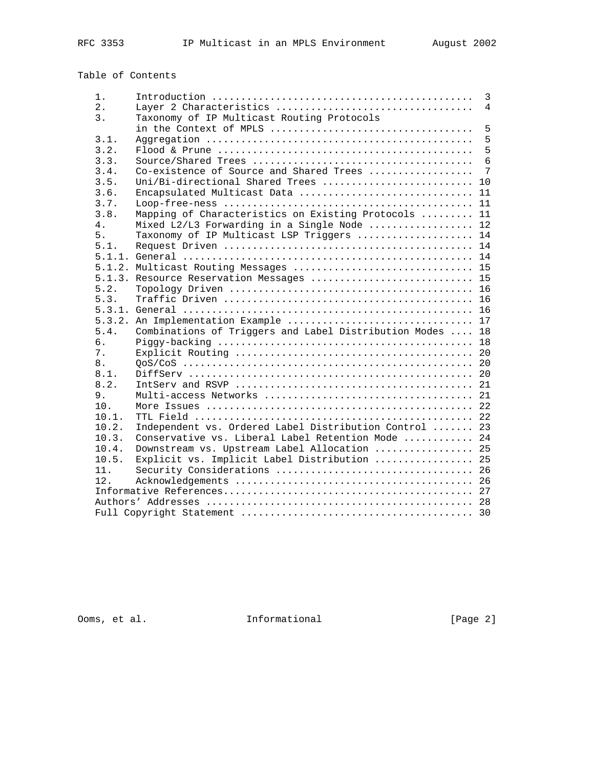# Table of Contents

| $1$ . |                                                           | $\overline{3}$  |
|-------|-----------------------------------------------------------|-----------------|
| 2.    | Layer 2 Characteristics                                   | $\overline{4}$  |
| 3.    | Taxonomy of IP Multicast Routing Protocols                |                 |
|       |                                                           | 5               |
| 3.1.  |                                                           | $5\overline{5}$ |
| 3.2.  |                                                           | 5               |
| 3.3.  |                                                           | 6               |
| 3.4.  | Co-existence of Source and Shared Trees                   | 7               |
| 3.5.  | Uni/Bi-directional Shared Trees  10                       |                 |
| 3.6.  | Encapsulated Multicast Data  11                           |                 |
| 3.7.  |                                                           |                 |
| 3.8.  | Mapping of Characteristics on Existing Protocols  11      |                 |
| 4.    | Mixed L2/L3 Forwarding in a Single Node  12               |                 |
| 5.    | Taxonomy of IP Multicast LSP Triggers  14                 |                 |
| 5.1.  |                                                           |                 |
|       |                                                           |                 |
|       | 5.1.2. Multicast Routing Messages  15                     |                 |
|       | 5.1.3. Resource Reservation Messages  15                  |                 |
| 5.2.  |                                                           |                 |
| 5.3.  |                                                           |                 |
|       |                                                           |                 |
|       | 5.3.2. An Implementation Example  17                      |                 |
| 5.4.  | Combinations of Triggers and Label Distribution Modes  18 |                 |
| б.    |                                                           |                 |
| 7.    |                                                           |                 |
| 8.    |                                                           |                 |
| 8.1.  |                                                           |                 |
| 8.2.  |                                                           |                 |
| 9.    |                                                           |                 |
| 10.   |                                                           |                 |
| 10.1. |                                                           |                 |
| 10.2. | Independent vs. Ordered Label Distribution Control  23    |                 |
| 10.3. | Conservative vs. Liberal Label Retention Mode  24         |                 |
| 10.4. | Downstream vs. Upstream Label Allocation  25              |                 |
| 10.5. | Explicit vs. Implicit Label Distribution  25              |                 |
| 11.   |                                                           |                 |
| 12.   |                                                           |                 |
|       |                                                           |                 |
|       |                                                           |                 |
|       |                                                           |                 |

Ooms, et al. 1nformational [Page 2]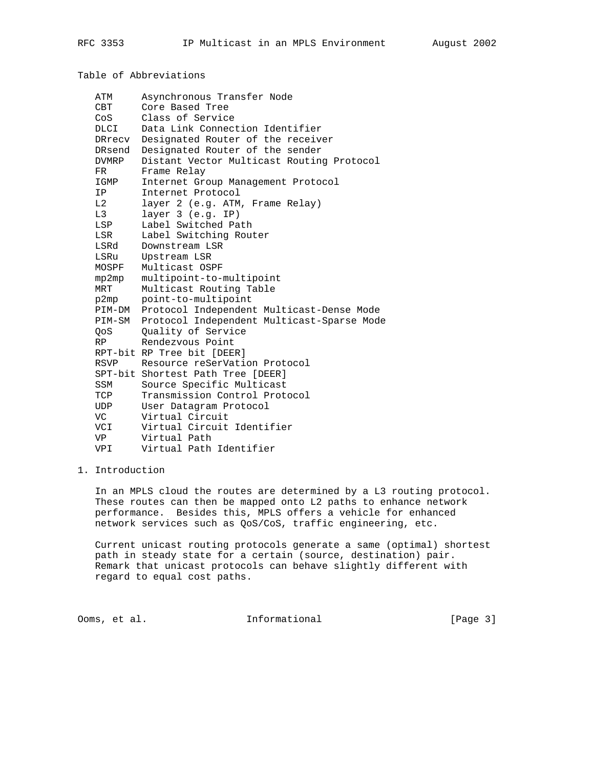Table of Abbreviations

| ATM                                                                                                             | Asynchronous Transfer Node                        |
|-----------------------------------------------------------------------------------------------------------------|---------------------------------------------------|
| CBT                                                                                                             | Core Based Tree                                   |
| Cos                                                                                                             | Class of Service                                  |
| DLCI                                                                                                            | Data Link Connection Identifier                   |
|                                                                                                                 | DRrecv Designated Router of the receiver          |
| DRsend                                                                                                          | Designated Router of the sender                   |
| DVMRP                                                                                                           | Distant Vector Multicast Routing Protocol         |
| FR                                                                                                              | Frame Relay                                       |
| IGMP                                                                                                            | Internet Group Management Protocol                |
| ΙP                                                                                                              | Internet Protocol                                 |
| L2                                                                                                              | layer 2 (e.g. ATM, Frame Relay)                   |
| L3                                                                                                              | layer 3 (e.g. IP)                                 |
| LSP                                                                                                             | Label Switched Path                               |
| LSR                                                                                                             | Label Switching Router                            |
| LSRd                                                                                                            | Downstream LSR                                    |
| LSRu                                                                                                            | Upstream LSR                                      |
| MOSPF                                                                                                           | Multicast OSPF                                    |
| mp2mp                                                                                                           | multipoint-to-multipoint                          |
| MRT                                                                                                             | Multicast Routing Table                           |
| p2mp                                                                                                            | point-to-multipoint                               |
|                                                                                                                 | PIM-DM Protocol Independent Multicast-Dense Mode  |
|                                                                                                                 | PIM-SM Protocol Independent Multicast-Sparse Mode |
| 0oS and the control of the control of the control of the control of the control of the control of the control o | Quality of Service                                |
| RP                                                                                                              | Rendezvous Point                                  |
|                                                                                                                 | RPT-bit RP Tree bit [DEER]                        |
| <b>RSVP</b>                                                                                                     | Resource reSerVation Protocol                     |
|                                                                                                                 | SPT-bit Shortest Path Tree [DEER]                 |
| SSM                                                                                                             | Source Specific Multicast                         |
| TCP                                                                                                             | Transmission Control Protocol                     |
| UDP                                                                                                             | User Datagram Protocol                            |
| VC                                                                                                              | Virtual Circuit                                   |
| VCI                                                                                                             | Virtual Circuit Identifier                        |
| VP                                                                                                              | Virtual Path                                      |
| VPI                                                                                                             | Virtual Path Identifier                           |

#### 1. Introduction

 In an MPLS cloud the routes are determined by a L3 routing protocol. These routes can then be mapped onto L2 paths to enhance network performance. Besides this, MPLS offers a vehicle for enhanced network services such as QoS/CoS, traffic engineering, etc.

 Current unicast routing protocols generate a same (optimal) shortest path in steady state for a certain (source, destination) pair. Remark that unicast protocols can behave slightly different with regard to equal cost paths.

Ooms, et al. Informational [Page 3]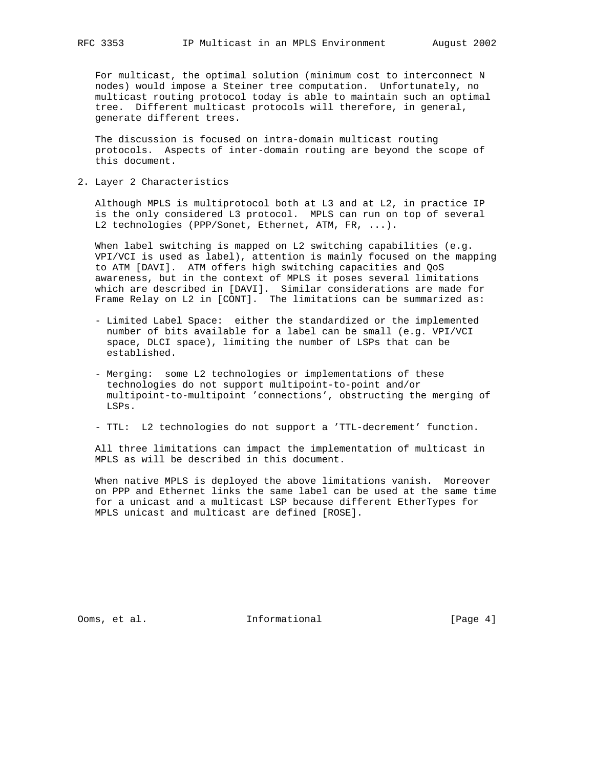For multicast, the optimal solution (minimum cost to interconnect N nodes) would impose a Steiner tree computation. Unfortunately, no multicast routing protocol today is able to maintain such an optimal tree. Different multicast protocols will therefore, in general, generate different trees.

 The discussion is focused on intra-domain multicast routing protocols. Aspects of inter-domain routing are beyond the scope of this document.

2. Layer 2 Characteristics

 Although MPLS is multiprotocol both at L3 and at L2, in practice IP is the only considered L3 protocol. MPLS can run on top of several L2 technologies (PPP/Sonet, Ethernet, ATM, FR, ...).

 When label switching is mapped on L2 switching capabilities (e.g. VPI/VCI is used as label), attention is mainly focused on the mapping to ATM [DAVI]. ATM offers high switching capacities and QoS awareness, but in the context of MPLS it poses several limitations which are described in [DAVI]. Similar considerations are made for Frame Relay on L2 in [CONT]. The limitations can be summarized as:

- Limited Label Space: either the standardized or the implemented number of bits available for a label can be small (e.g. VPI/VCI space, DLCI space), limiting the number of LSPs that can be established.
- Merging: some L2 technologies or implementations of these technologies do not support multipoint-to-point and/or multipoint-to-multipoint 'connections', obstructing the merging of LSPs.
- TTL: L2 technologies do not support a 'TTL-decrement' function.

 All three limitations can impact the implementation of multicast in MPLS as will be described in this document.

 When native MPLS is deployed the above limitations vanish. Moreover on PPP and Ethernet links the same label can be used at the same time for a unicast and a multicast LSP because different EtherTypes for MPLS unicast and multicast are defined [ROSE].

Ooms, et al. Informational [Page 4]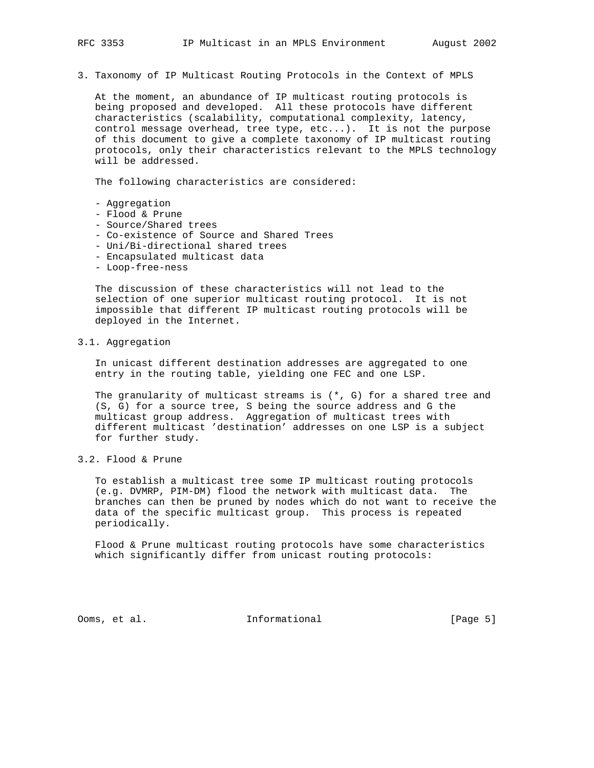3. Taxonomy of IP Multicast Routing Protocols in the Context of MPLS

 At the moment, an abundance of IP multicast routing protocols is being proposed and developed. All these protocols have different characteristics (scalability, computational complexity, latency, control message overhead, tree type, etc...). It is not the purpose of this document to give a complete taxonomy of IP multicast routing protocols, only their characteristics relevant to the MPLS technology will be addressed.

The following characteristics are considered:

- Aggregation
- Flood & Prune
- Source/Shared trees
- Co-existence of Source and Shared Trees
- Uni/Bi-directional shared trees
- Encapsulated multicast data
- Loop-free-ness

 The discussion of these characteristics will not lead to the selection of one superior multicast routing protocol. It is not impossible that different IP multicast routing protocols will be deployed in the Internet.

3.1. Aggregation

 In unicast different destination addresses are aggregated to one entry in the routing table, yielding one FEC and one LSP.

 The granularity of multicast streams is (\*, G) for a shared tree and (S, G) for a source tree, S being the source address and G the multicast group address. Aggregation of multicast trees with different multicast 'destination' addresses on one LSP is a subject for further study.

3.2. Flood & Prune

 To establish a multicast tree some IP multicast routing protocols (e.g. DVMRP, PIM-DM) flood the network with multicast data. The branches can then be pruned by nodes which do not want to receive the data of the specific multicast group. This process is repeated periodically.

 Flood & Prune multicast routing protocols have some characteristics which significantly differ from unicast routing protocols:

Ooms, et al. **Informational** [Page 5]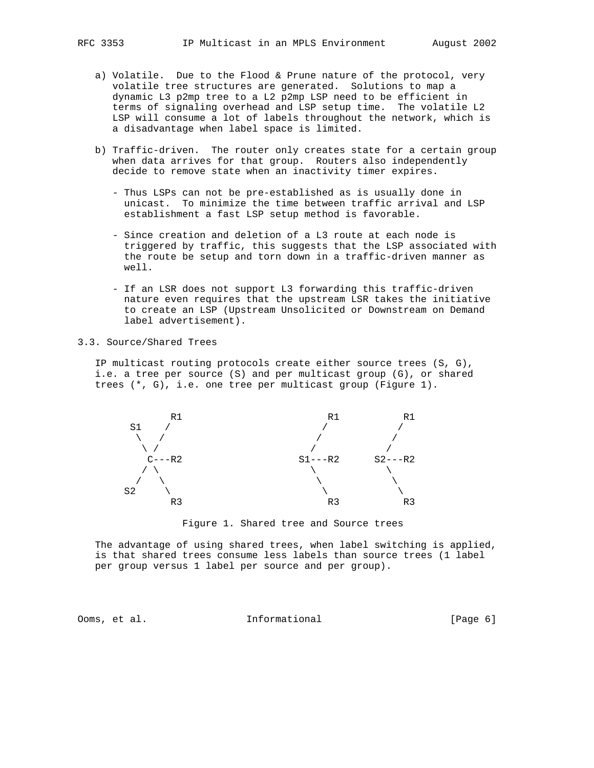- a) Volatile. Due to the Flood & Prune nature of the protocol, very volatile tree structures are generated. Solutions to map a dynamic L3 p2mp tree to a L2 p2mp LSP need to be efficient in terms of signaling overhead and LSP setup time. The volatile L2 LSP will consume a lot of labels throughout the network, which is a disadvantage when label space is limited.
- b) Traffic-driven. The router only creates state for a certain group when data arrives for that group. Routers also independently decide to remove state when an inactivity timer expires.
	- Thus LSPs can not be pre-established as is usually done in unicast. To minimize the time between traffic arrival and LSP establishment a fast LSP setup method is favorable.
	- Since creation and deletion of a L3 route at each node is triggered by traffic, this suggests that the LSP associated with the route be setup and torn down in a traffic-driven manner as well.
	- If an LSR does not support L3 forwarding this traffic-driven nature even requires that the upstream LSR takes the initiative to create an LSP (Upstream Unsolicited or Downstream on Demand label advertisement).
- 3.3. Source/Shared Trees

 IP multicast routing protocols create either source trees (S, G), i.e. a tree per source (S) and per multicast group (G), or shared trees (\*, G), i.e. one tree per multicast group (Figure 1).



Figure 1. Shared tree and Source trees

 The advantage of using shared trees, when label switching is applied, is that shared trees consume less labels than source trees (1 label per group versus 1 label per source and per group).

Ooms, et al. **Informational** [Page 6]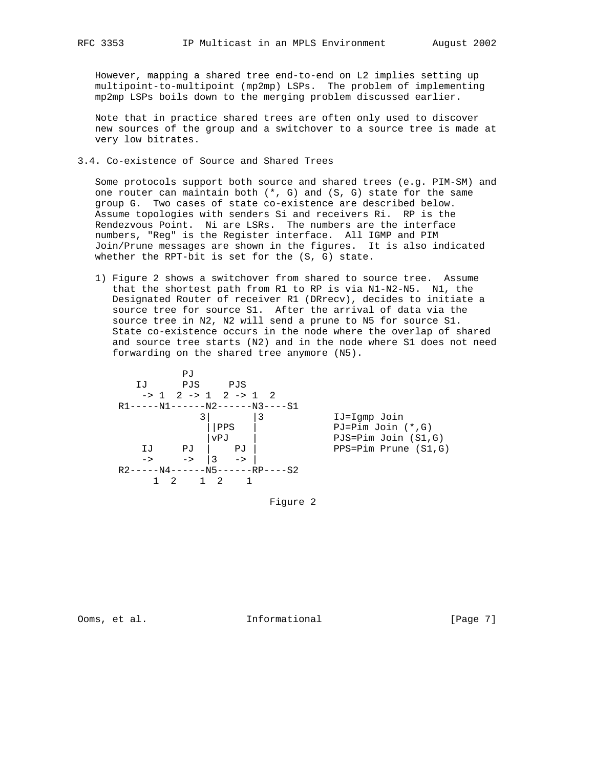However, mapping a shared tree end-to-end on L2 implies setting up multipoint-to-multipoint (mp2mp) LSPs. The problem of implementing mp2mp LSPs boils down to the merging problem discussed earlier.

 Note that in practice shared trees are often only used to discover new sources of the group and a switchover to a source tree is made at very low bitrates.

3.4. Co-existence of Source and Shared Trees

 Some protocols support both source and shared trees (e.g. PIM-SM) and one router can maintain both  $(*, G)$  and  $(S, G)$  state for the same group G. Two cases of state co-existence are described below. Assume topologies with senders Si and receivers Ri. RP is the Rendezvous Point. Ni are LSRs. The numbers are the interface numbers, "Reg" is the Register interface. All IGMP and PIM Join/Prune messages are shown in the figures. It is also indicated whether the RPT-bit is set for the (S, G) state.

 1) Figure 2 shows a switchover from shared to source tree. Assume that the shortest path from R1 to RP is via N1-N2-N5. N1, the Designated Router of receiver R1 (DRrecv), decides to initiate a source tree for source S1. After the arrival of data via the source tree in N2, N2 will send a prune to N5 for source S1. State co-existence occurs in the node where the overlap of shared and source tree starts (N2) and in the node where S1 does not need forwarding on the shared tree anymore (N5).



Figure 2

Ooms, et al. Informational [Page 7]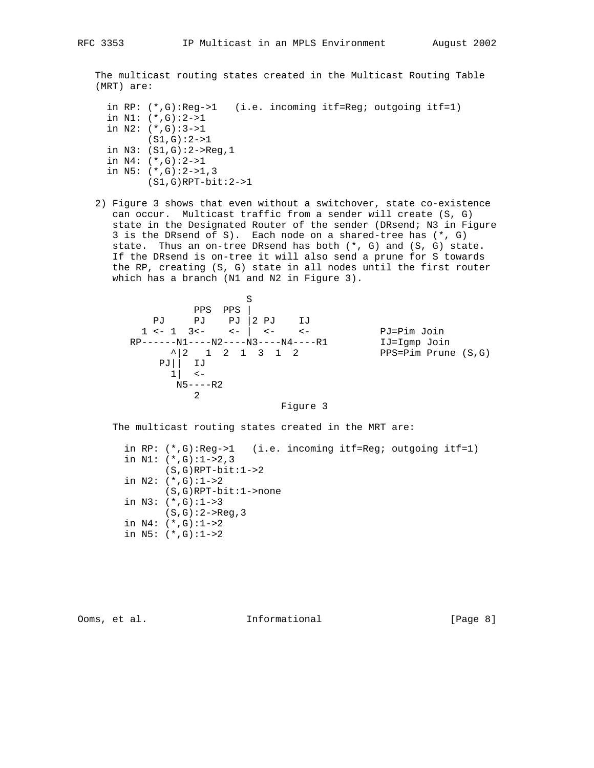The multicast routing states created in the Multicast Routing Table (MRT) are:

```
 in RP: (*,G):Reg->1 (i.e. incoming itf=Reg; outgoing itf=1)
 in N1: (*,G):2->1
 in N2: (*,G):3->1
       (S1,G):2->1
 in N3: (S1,G):2->Reg,1
 in N4: (*,G):2->1
 in N5: (*,G):2->1,3
        (S1,G)RPT-bit:2->1
```
 2) Figure 3 shows that even without a switchover, state co-existence can occur. Multicast traffic from a sender will create (S, G) state in the Designated Router of the sender (DRsend; N3 in Figure 3 is the DRsend of S). Each node on a shared-tree has (\*, G) state. Thus an on-tree DRsend has both (\*, G) and (S, G) state. If the DRsend is on-tree it will also send a prune for S towards the RP, creating (S, G) state in all nodes until the first router which has a branch (N1 and N2 in Figure 3).

```
 S
 PPS PPS |
 PJ PJ PJ |2 PJ IJ
1 <- 1 3<- <- | <- <- <- PJ=Pim Join
 RP------N1----N2----N3----N4----R1 IJ=Igmp Join
\uparrow | 2 1 2 1 3 1 2 PPS=Pim Prune (S,G)
        PJ|| IJ
        1 | \leqN5---R2 2
```
Figure 3

The multicast routing states created in the MRT are:

 in RP: (\*,G):Reg->1 (i.e. incoming itf=Reg; outgoing itf=1) in N1:  $(*$ , G):  $1->2, 3$  $(S,G)$ RPT-bit: $1->2$  in N2: (\*,G):1->2 (S,G)RPT-bit:1->none in N3: (\*,G):1->3  $(S,G):2->Reg,3$  in N4: (\*,G):1->2 in N5: (\*,G):1->2

Ooms, et al. **Informational** [Page 8]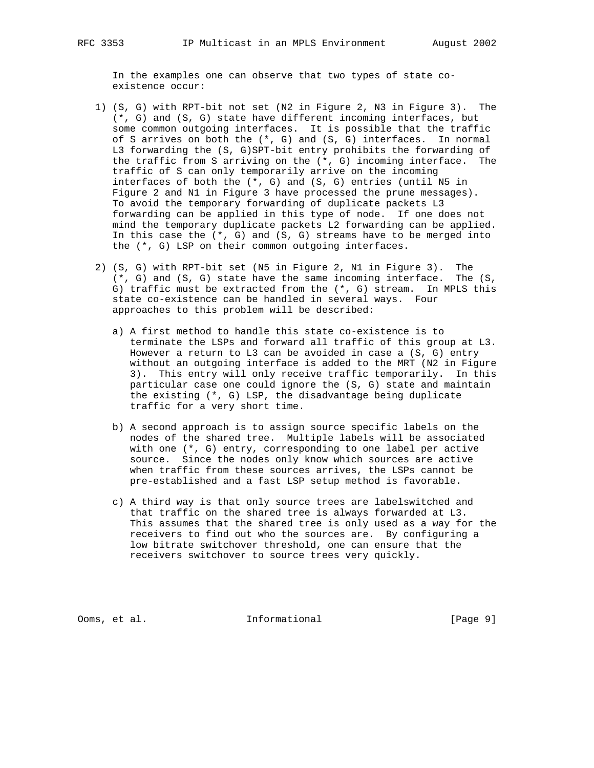In the examples one can observe that two types of state co existence occur:

- 1) (S, G) with RPT-bit not set (N2 in Figure 2, N3 in Figure 3). The (\*, G) and (S, G) state have different incoming interfaces, but some common outgoing interfaces. It is possible that the traffic of S arrives on both the (\*, G) and (S, G) interfaces. In normal L3 forwarding the (S, G)SPT-bit entry prohibits the forwarding of the traffic from S arriving on the (\*, G) incoming interface. The traffic of S can only temporarily arrive on the incoming interfaces of both the (\*, G) and (S, G) entries (until N5 in Figure 2 and N1 in Figure 3 have processed the prune messages). To avoid the temporary forwarding of duplicate packets L3 forwarding can be applied in this type of node. If one does not mind the temporary duplicate packets L2 forwarding can be applied. In this case the  $(*, G)$  and  $(S, G)$  streams have to be merged into the (\*, G) LSP on their common outgoing interfaces.
- 2) (S, G) with RPT-bit set (N5 in Figure 2, N1 in Figure 3). The (\*, G) and (S, G) state have the same incoming interface. The (S, G) traffic must be extracted from the (\*, G) stream. In MPLS this state co-existence can be handled in several ways. Four approaches to this problem will be described:
	- a) A first method to handle this state co-existence is to terminate the LSPs and forward all traffic of this group at L3. However a return to L3 can be avoided in case a (S, G) entry without an outgoing interface is added to the MRT (N2 in Figure 3). This entry will only receive traffic temporarily. In this particular case one could ignore the (S, G) state and maintain the existing (\*, G) LSP, the disadvantage being duplicate traffic for a very short time.
	- b) A second approach is to assign source specific labels on the nodes of the shared tree. Multiple labels will be associated with one (\*, G) entry, corresponding to one label per active source. Since the nodes only know which sources are active when traffic from these sources arrives, the LSPs cannot be pre-established and a fast LSP setup method is favorable.
	- c) A third way is that only source trees are labelswitched and that traffic on the shared tree is always forwarded at L3. This assumes that the shared tree is only used as a way for the receivers to find out who the sources are. By configuring a low bitrate switchover threshold, one can ensure that the receivers switchover to source trees very quickly.

Ooms, et al. **Informational** [Page 9]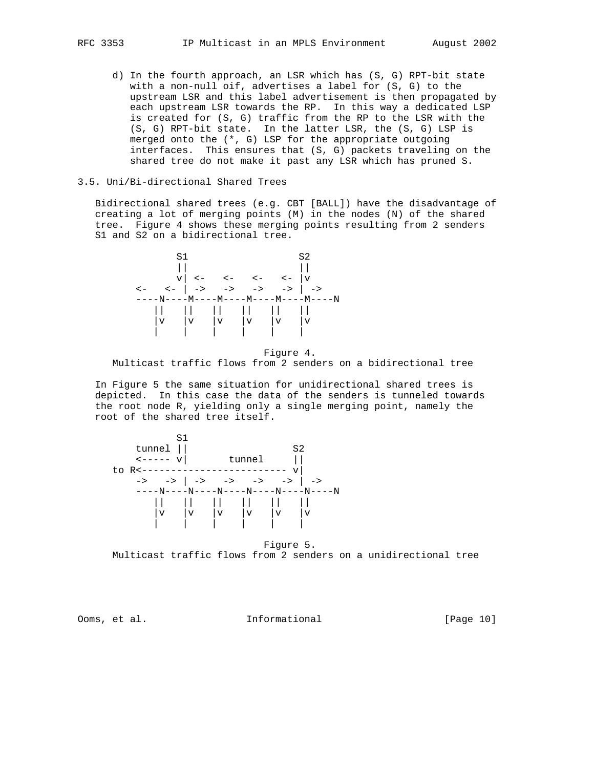d) In the fourth approach, an LSR which has (S, G) RPT-bit state with a non-null oif, advertises a label for (S, G) to the upstream LSR and this label advertisement is then propagated by each upstream LSR towards the RP. In this way a dedicated LSP is created for (S, G) traffic from the RP to the LSR with the (S, G) RPT-bit state. In the latter LSR, the (S, G) LSP is merged onto the (\*, G) LSP for the appropriate outgoing interfaces. This ensures that (S, G) packets traveling on the shared tree do not make it past any LSR which has pruned S.

#### 3.5. Uni/Bi-directional Shared Trees

 Bidirectional shared trees (e.g. CBT [BALL]) have the disadvantage of creating a lot of merging points (M) in the nodes (N) of the shared tree. Figure 4 shows these merging points resulting from 2 senders S1 and S2 on a bidirectional tree.



 Figure 4. Multicast traffic flows from 2 senders on a bidirectional tree

 In Figure 5 the same situation for unidirectional shared trees is depicted. In this case the data of the senders is tunneled towards the root node R, yielding only a single merging point, namely the root of the shared tree itself.



 Figure 5. Multicast traffic flows from 2 senders on a unidirectional tree

Ooms, et al. Informational [Page 10]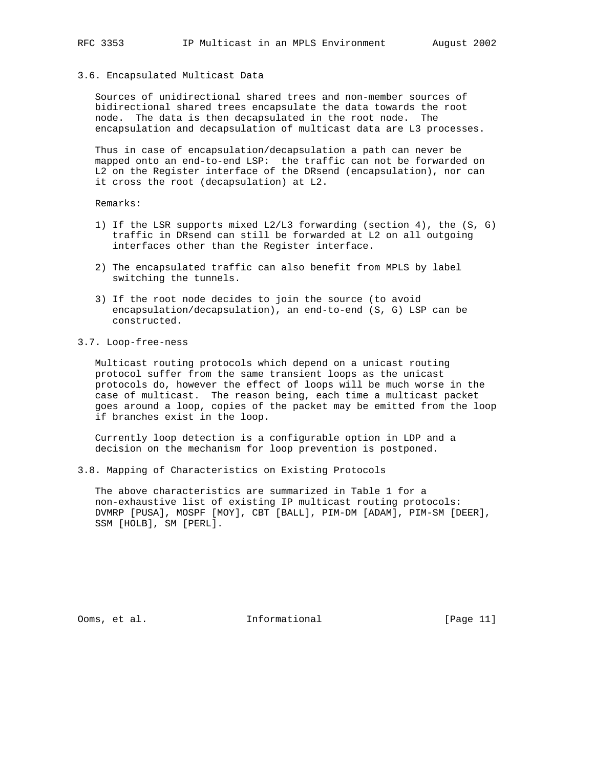#### 3.6. Encapsulated Multicast Data

 Sources of unidirectional shared trees and non-member sources of bidirectional shared trees encapsulate the data towards the root node. The data is then decapsulated in the root node. The encapsulation and decapsulation of multicast data are L3 processes.

 Thus in case of encapsulation/decapsulation a path can never be mapped onto an end-to-end LSP: the traffic can not be forwarded on L2 on the Register interface of the DRsend (encapsulation), nor can it cross the root (decapsulation) at L2.

Remarks:

- 1) If the LSR supports mixed L2/L3 forwarding (section 4), the (S, G) traffic in DRsend can still be forwarded at L2 on all outgoing interfaces other than the Register interface.
- 2) The encapsulated traffic can also benefit from MPLS by label switching the tunnels.
- 3) If the root node decides to join the source (to avoid encapsulation/decapsulation), an end-to-end (S, G) LSP can be constructed.
- 3.7. Loop-free-ness

 Multicast routing protocols which depend on a unicast routing protocol suffer from the same transient loops as the unicast protocols do, however the effect of loops will be much worse in the case of multicast. The reason being, each time a multicast packet goes around a loop, copies of the packet may be emitted from the loop if branches exist in the loop.

 Currently loop detection is a configurable option in LDP and a decision on the mechanism for loop prevention is postponed.

3.8. Mapping of Characteristics on Existing Protocols

 The above characteristics are summarized in Table 1 for a non-exhaustive list of existing IP multicast routing protocols: DVMRP [PUSA], MOSPF [MOY], CBT [BALL], PIM-DM [ADAM], PIM-SM [DEER], SSM [HOLB], SM [PERL].

Ooms, et al. 10. Informational 1. [Page 11]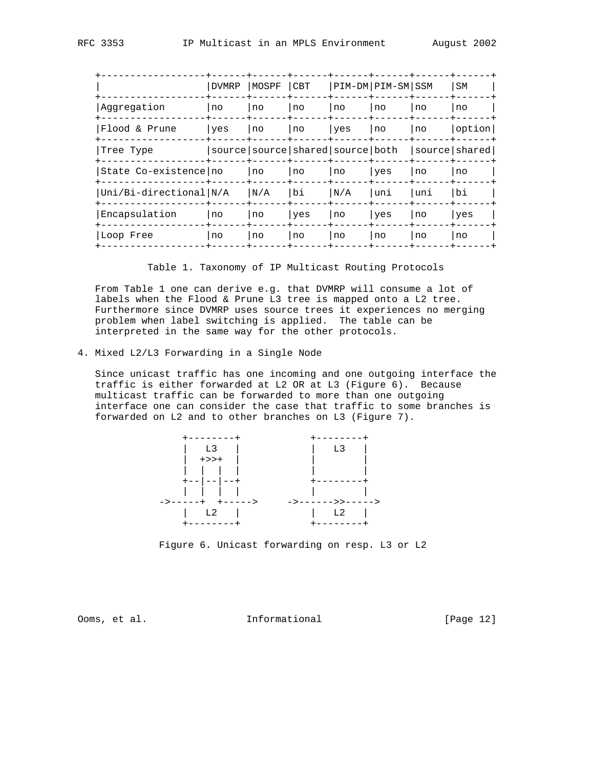|                        | <b>DVMRP</b> | MOSPF CBT |                                          | PIM-DM PIM-SM SSM |     |     | SM            |  |
|------------------------|--------------|-----------|------------------------------------------|-------------------|-----|-----|---------------|--|
| Aqqreqation            | l no         | no        | no                                       | no                | no  | no  | no            |  |
| Flood & Prune          | yes          | no        | no                                       | yes               | no  | no  | option        |  |
| Tree Type              |              |           | source   source   shared   source   both |                   |     |     | source shared |  |
| State Co-existence no  |              | no        | no                                       | no                | yes | no  | no            |  |
| Uni/Bi-directional N/A |              | N/A       | bi                                       | N/A               | uni | uni | bi            |  |
| Encapsulation          | no           | no        | yes                                      | no                | yes | no  | yes           |  |
| Loop Free              | no           | no        | no                                       | no                | no  | no  | no            |  |
|                        |              |           |                                          |                   |     |     |               |  |

Table 1. Taxonomy of IP Multicast Routing Protocols

 From Table 1 one can derive e.g. that DVMRP will consume a lot of labels when the Flood & Prune L3 tree is mapped onto a L2 tree. Furthermore since DVMRP uses source trees it experiences no merging problem when label switching is applied. The table can be interpreted in the same way for the other protocols.

4. Mixed L2/L3 Forwarding in a Single Node

 Since unicast traffic has one incoming and one outgoing interface the traffic is either forwarded at L2 OR at L3 (Figure 6). Because multicast traffic can be forwarded to more than one outgoing interface one can consider the case that traffic to some branches is forwarded on L2 and to other branches on L3 (Figure 7).



Figure 6. Unicast forwarding on resp. L3 or L2

Ooms, et al. Informational [Page 12]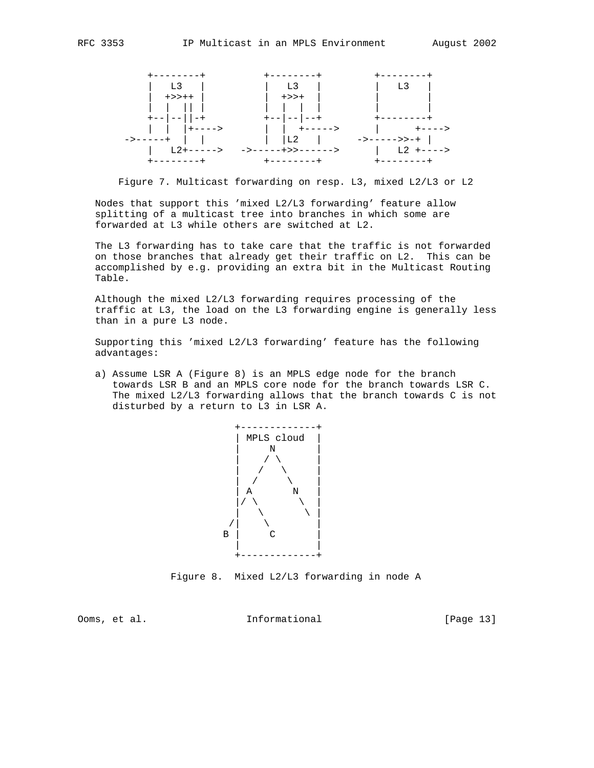

Figure 7. Multicast forwarding on resp. L3, mixed L2/L3 or L2

 Nodes that support this 'mixed L2/L3 forwarding' feature allow splitting of a multicast tree into branches in which some are forwarded at L3 while others are switched at L2.

 The L3 forwarding has to take care that the traffic is not forwarded on those branches that already get their traffic on L2. This can be accomplished by e.g. providing an extra bit in the Multicast Routing Table.

 Although the mixed L2/L3 forwarding requires processing of the traffic at L3, the load on the L3 forwarding engine is generally less than in a pure L3 node.

 Supporting this 'mixed L2/L3 forwarding' feature has the following advantages:

 a) Assume LSR A (Figure 8) is an MPLS edge node for the branch towards LSR B and an MPLS core node for the branch towards LSR C. The mixed L2/L3 forwarding allows that the branch towards C is not disturbed by a return to L3 in LSR A.



Figure 8. Mixed L2/L3 forwarding in node A

Ooms, et al. Informational [Page 13]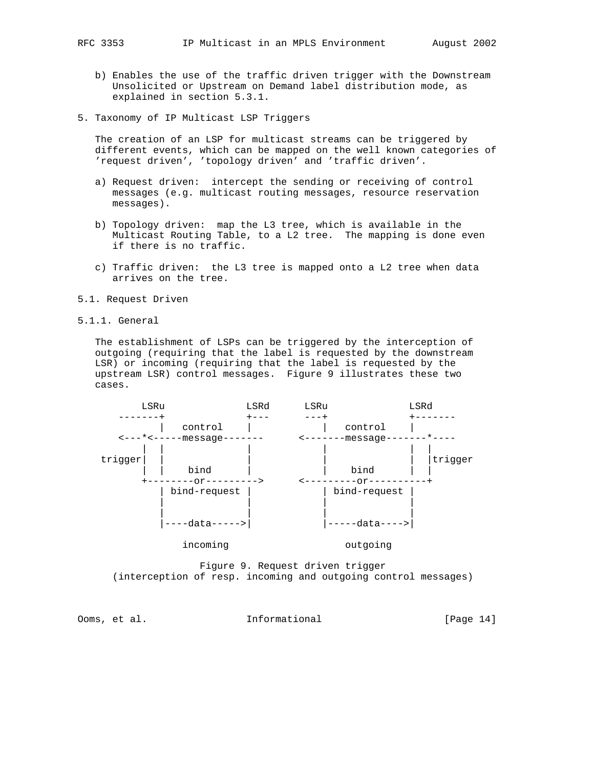- b) Enables the use of the traffic driven trigger with the Downstream Unsolicited or Upstream on Demand label distribution mode, as explained in section 5.3.1.
- 5. Taxonomy of IP Multicast LSP Triggers

 The creation of an LSP for multicast streams can be triggered by different events, which can be mapped on the well known categories of 'request driven', 'topology driven' and 'traffic driven'.

- a) Request driven: intercept the sending or receiving of control messages (e.g. multicast routing messages, resource reservation messages).
- b) Topology driven: map the L3 tree, which is available in the Multicast Routing Table, to a L2 tree. The mapping is done even if there is no traffic.
- c) Traffic driven: the L3 tree is mapped onto a L2 tree when data arrives on the tree.
- 5.1. Request Driven
- 5.1.1. General

 The establishment of LSPs can be triggered by the interception of outgoing (requiring that the label is requested by the downstream LSR) or incoming (requiring that the label is requested by the upstream LSR) control messages. Figure 9 illustrates these two cases.



 Figure 9. Request driven trigger (interception of resp. incoming and outgoing control messages)

Ooms, et al. 10. Informational 1. [Page 14]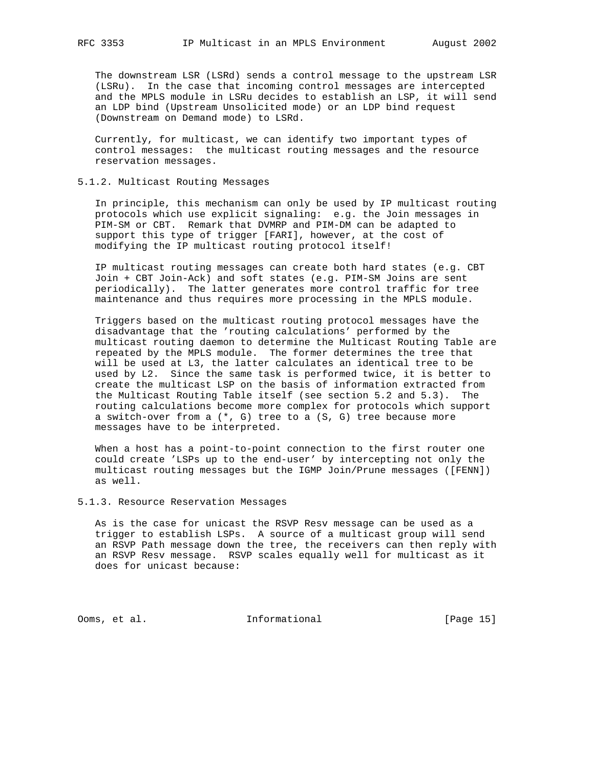The downstream LSR (LSRd) sends a control message to the upstream LSR (LSRu). In the case that incoming control messages are intercepted and the MPLS module in LSRu decides to establish an LSP, it will send an LDP bind (Upstream Unsolicited mode) or an LDP bind request (Downstream on Demand mode) to LSRd.

 Currently, for multicast, we can identify two important types of control messages: the multicast routing messages and the resource reservation messages.

#### 5.1.2. Multicast Routing Messages

 In principle, this mechanism can only be used by IP multicast routing protocols which use explicit signaling: e.g. the Join messages in PIM-SM or CBT. Remark that DVMRP and PIM-DM can be adapted to support this type of trigger [FARI], however, at the cost of modifying the IP multicast routing protocol itself!

 IP multicast routing messages can create both hard states (e.g. CBT Join + CBT Join-Ack) and soft states (e.g. PIM-SM Joins are sent periodically). The latter generates more control traffic for tree maintenance and thus requires more processing in the MPLS module.

 Triggers based on the multicast routing protocol messages have the disadvantage that the 'routing calculations' performed by the multicast routing daemon to determine the Multicast Routing Table are repeated by the MPLS module. The former determines the tree that will be used at L3, the latter calculates an identical tree to be used by L2. Since the same task is performed twice, it is better to create the multicast LSP on the basis of information extracted from the Multicast Routing Table itself (see section 5.2 and 5.3). The routing calculations become more complex for protocols which support a switch-over from a (\*, G) tree to a (S, G) tree because more messages have to be interpreted.

 When a host has a point-to-point connection to the first router one could create 'LSPs up to the end-user' by intercepting not only the multicast routing messages but the IGMP Join/Prune messages ([FENN]) as well.

#### 5.1.3. Resource Reservation Messages

 As is the case for unicast the RSVP Resv message can be used as a trigger to establish LSPs. A source of a multicast group will send an RSVP Path message down the tree, the receivers can then reply with an RSVP Resv message. RSVP scales equally well for multicast as it does for unicast because:

Ooms, et al. 10. Informational 1. [Page 15]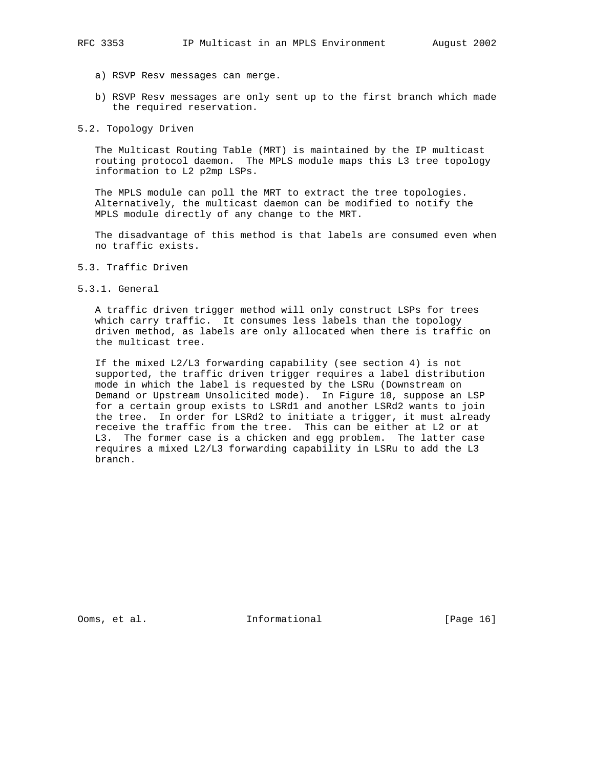- a) RSVP Resv messages can merge.
- b) RSVP Resv messages are only sent up to the first branch which made the required reservation.
- 5.2. Topology Driven

 The Multicast Routing Table (MRT) is maintained by the IP multicast routing protocol daemon. The MPLS module maps this L3 tree topology information to L2 p2mp LSPs.

 The MPLS module can poll the MRT to extract the tree topologies. Alternatively, the multicast daemon can be modified to notify the MPLS module directly of any change to the MRT.

 The disadvantage of this method is that labels are consumed even when no traffic exists.

- 5.3. Traffic Driven
- 5.3.1. General

 A traffic driven trigger method will only construct LSPs for trees which carry traffic. It consumes less labels than the topology driven method, as labels are only allocated when there is traffic on the multicast tree.

 If the mixed L2/L3 forwarding capability (see section 4) is not supported, the traffic driven trigger requires a label distribution mode in which the label is requested by the LSRu (Downstream on Demand or Upstream Unsolicited mode). In Figure 10, suppose an LSP for a certain group exists to LSRd1 and another LSRd2 wants to join the tree. In order for LSRd2 to initiate a trigger, it must already receive the traffic from the tree. This can be either at L2 or at L3. The former case is a chicken and egg problem. The latter case requires a mixed L2/L3 forwarding capability in LSRu to add the L3 branch.

Ooms, et al. 1nformational [Page 16]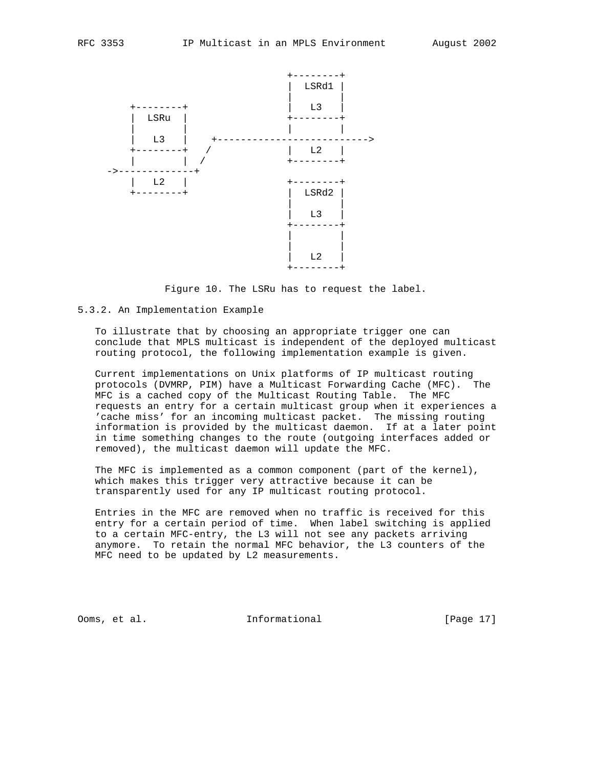

Figure 10. The LSRu has to request the label.

#### 5.3.2. An Implementation Example

 To illustrate that by choosing an appropriate trigger one can conclude that MPLS multicast is independent of the deployed multicast routing protocol, the following implementation example is given.

 Current implementations on Unix platforms of IP multicast routing protocols (DVMRP, PIM) have a Multicast Forwarding Cache (MFC). The MFC is a cached copy of the Multicast Routing Table. The MFC requests an entry for a certain multicast group when it experiences a 'cache miss' for an incoming multicast packet. The missing routing information is provided by the multicast daemon. If at a later point in time something changes to the route (outgoing interfaces added or removed), the multicast daemon will update the MFC.

 The MFC is implemented as a common component (part of the kernel), which makes this trigger very attractive because it can be transparently used for any IP multicast routing protocol.

 Entries in the MFC are removed when no traffic is received for this entry for a certain period of time. When label switching is applied to a certain MFC-entry, the L3 will not see any packets arriving anymore. To retain the normal MFC behavior, the L3 counters of the MFC need to be updated by L2 measurements.

Ooms, et al. **Informational** [Page 17]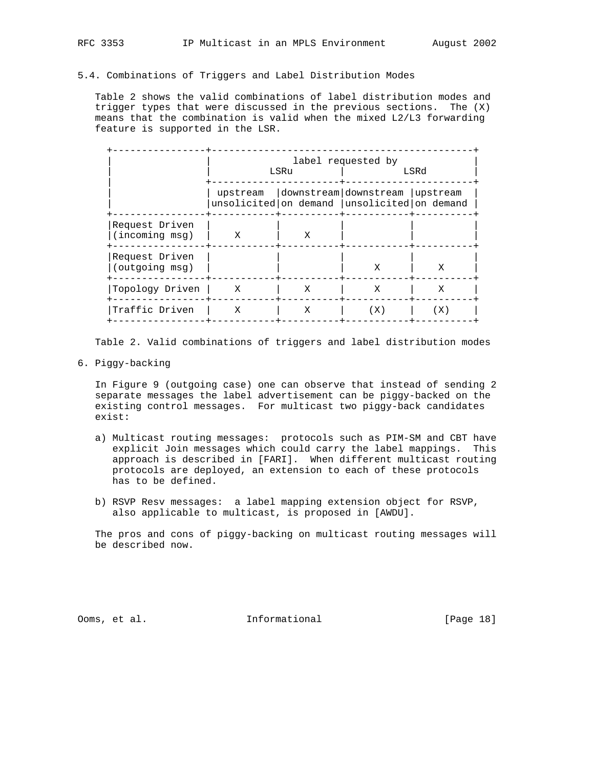### 5.4. Combinations of Triggers and Label Distribution Modes

 Table 2 shows the valid combinations of label distribution modes and trigger types that were discussed in the previous sections. The (X) means that the combination is valid when the mixed L2/L3 forwarding feature is supported in the LSR.

|                                  | label requested by<br>LSRu |   | LSRd                                                                                         |     |  |
|----------------------------------|----------------------------|---|----------------------------------------------------------------------------------------------|-----|--|
|                                  |                            |   | upstream   downstream   downstream   upstream<br>unsolicited on demand unsolicited on demand |     |  |
| Request Driven<br>(incoming msg) | X                          | X |                                                                                              |     |  |
| Request Driven<br>(outgoing msg) |                            |   | X                                                                                            | X   |  |
| Topology Driven                  | X                          | X | X                                                                                            | X   |  |
| Traffic Driven                   | X                          | X | (X)                                                                                          | (X) |  |

Table 2. Valid combinations of triggers and label distribution modes

6. Piggy-backing

 In Figure 9 (outgoing case) one can observe that instead of sending 2 separate messages the label advertisement can be piggy-backed on the existing control messages. For multicast two piggy-back candidates exist:

- a) Multicast routing messages: protocols such as PIM-SM and CBT have explicit Join messages which could carry the label mappings. This approach is described in [FARI]. When different multicast routing protocols are deployed, an extension to each of these protocols has to be defined.
- b) RSVP Resv messages: a label mapping extension object for RSVP, also applicable to multicast, is proposed in [AWDU].

 The pros and cons of piggy-backing on multicast routing messages will be described now.

Ooms, et al. **Informational** [Page 18]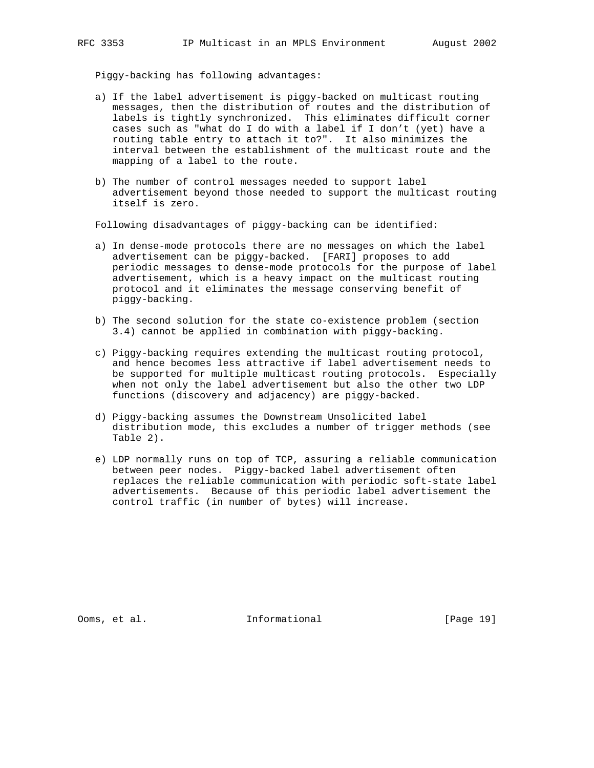Piggy-backing has following advantages:

- a) If the label advertisement is piggy-backed on multicast routing messages, then the distribution of routes and the distribution of labels is tightly synchronized. This eliminates difficult corner cases such as "what do I do with a label if I don't (yet) have a routing table entry to attach it to?". It also minimizes the interval between the establishment of the multicast route and the mapping of a label to the route.
- b) The number of control messages needed to support label advertisement beyond those needed to support the multicast routing itself is zero.

Following disadvantages of piggy-backing can be identified:

- a) In dense-mode protocols there are no messages on which the label advertisement can be piggy-backed. [FARI] proposes to add periodic messages to dense-mode protocols for the purpose of label advertisement, which is a heavy impact on the multicast routing protocol and it eliminates the message conserving benefit of piggy-backing.
- b) The second solution for the state co-existence problem (section 3.4) cannot be applied in combination with piggy-backing.
- c) Piggy-backing requires extending the multicast routing protocol, and hence becomes less attractive if label advertisement needs to be supported for multiple multicast routing protocols. Especially when not only the label advertisement but also the other two LDP functions (discovery and adjacency) are piggy-backed.
- d) Piggy-backing assumes the Downstream Unsolicited label distribution mode, this excludes a number of trigger methods (see Table 2).
- e) LDP normally runs on top of TCP, assuring a reliable communication between peer nodes. Piggy-backed label advertisement often replaces the reliable communication with periodic soft-state label advertisements. Because of this periodic label advertisement the control traffic (in number of bytes) will increase.

Ooms, et al. Informational [Page 19]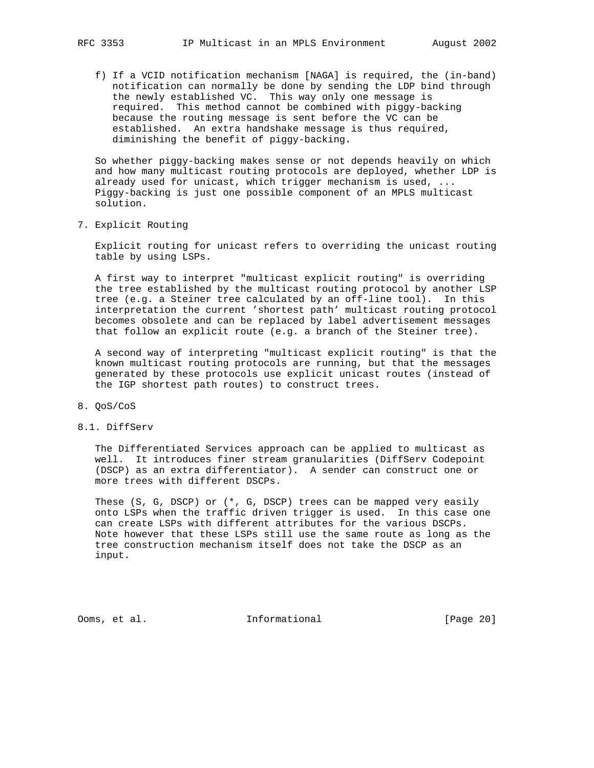f) If a VCID notification mechanism [NAGA] is required, the (in-band) notification can normally be done by sending the LDP bind through the newly established VC. This way only one message is required. This method cannot be combined with piggy-backing because the routing message is sent before the VC can be established. An extra handshake message is thus required, diminishing the benefit of piggy-backing.

 So whether piggy-backing makes sense or not depends heavily on which and how many multicast routing protocols are deployed, whether LDP is already used for unicast, which trigger mechanism is used, ... Piggy-backing is just one possible component of an MPLS multicast solution.

7. Explicit Routing

 Explicit routing for unicast refers to overriding the unicast routing table by using LSPs.

 A first way to interpret "multicast explicit routing" is overriding the tree established by the multicast routing protocol by another LSP tree (e.g. a Steiner tree calculated by an off-line tool). In this interpretation the current 'shortest path' multicast routing protocol becomes obsolete and can be replaced by label advertisement messages that follow an explicit route (e.g. a branch of the Steiner tree).

 A second way of interpreting "multicast explicit routing" is that the known multicast routing protocols are running, but that the messages generated by these protocols use explicit unicast routes (instead of the IGP shortest path routes) to construct trees.

- 8. QoS/CoS
- 8.1. DiffServ

 The Differentiated Services approach can be applied to multicast as well. It introduces finer stream granularities (DiffServ Codepoint (DSCP) as an extra differentiator). A sender can construct one or more trees with different DSCPs.

 These (S, G, DSCP) or (\*, G, DSCP) trees can be mapped very easily onto LSPs when the traffic driven trigger is used. In this case one can create LSPs with different attributes for the various DSCPs. Note however that these LSPs still use the same route as long as the tree construction mechanism itself does not take the DSCP as an input.

Ooms, et al. **Informational** [Page 20]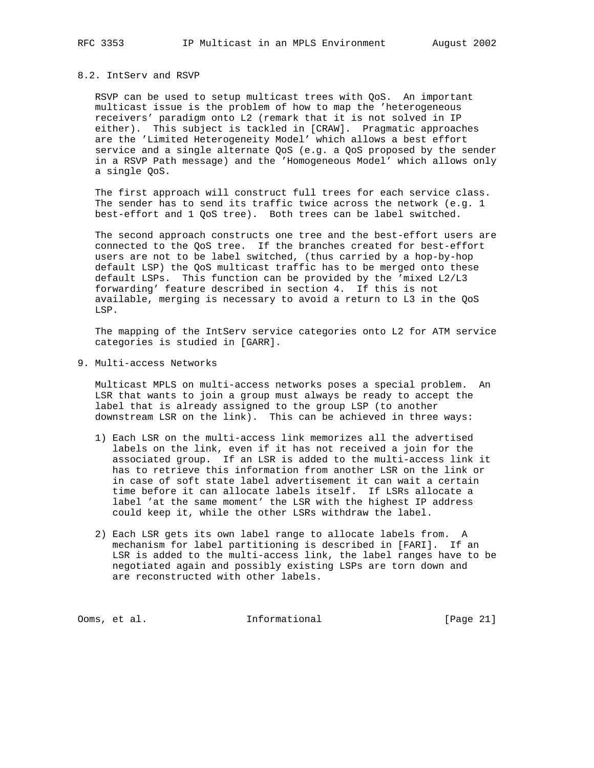# 8.2. IntServ and RSVP

 RSVP can be used to setup multicast trees with QoS. An important multicast issue is the problem of how to map the 'heterogeneous receivers' paradigm onto L2 (remark that it is not solved in IP either). This subject is tackled in [CRAW]. Pragmatic approaches are the 'Limited Heterogeneity Model' which allows a best effort service and a single alternate QoS (e.g. a QoS proposed by the sender in a RSVP Path message) and the 'Homogeneous Model' which allows only a single QoS.

 The first approach will construct full trees for each service class. The sender has to send its traffic twice across the network (e.g. 1 best-effort and 1 QoS tree). Both trees can be label switched.

 The second approach constructs one tree and the best-effort users are connected to the QoS tree. If the branches created for best-effort users are not to be label switched, (thus carried by a hop-by-hop default LSP) the QoS multicast traffic has to be merged onto these default LSPs. This function can be provided by the 'mixed L2/L3 forwarding' feature described in section 4. If this is not available, merging is necessary to avoid a return to L3 in the QoS LSP.

 The mapping of the IntServ service categories onto L2 for ATM service categories is studied in [GARR].

9. Multi-access Networks

 Multicast MPLS on multi-access networks poses a special problem. An LSR that wants to join a group must always be ready to accept the label that is already assigned to the group LSP (to another downstream LSR on the link). This can be achieved in three ways:

- 1) Each LSR on the multi-access link memorizes all the advertised labels on the link, even if it has not received a join for the associated group. If an LSR is added to the multi-access link it has to retrieve this information from another LSR on the link or in case of soft state label advertisement it can wait a certain time before it can allocate labels itself. If LSRs allocate a label 'at the same moment' the LSR with the highest IP address could keep it, while the other LSRs withdraw the label.
- 2) Each LSR gets its own label range to allocate labels from. A mechanism for label partitioning is described in [FARI]. If an LSR is added to the multi-access link, the label ranges have to be negotiated again and possibly existing LSPs are torn down and are reconstructed with other labels.

Ooms, et al. 1nformational [Page 21]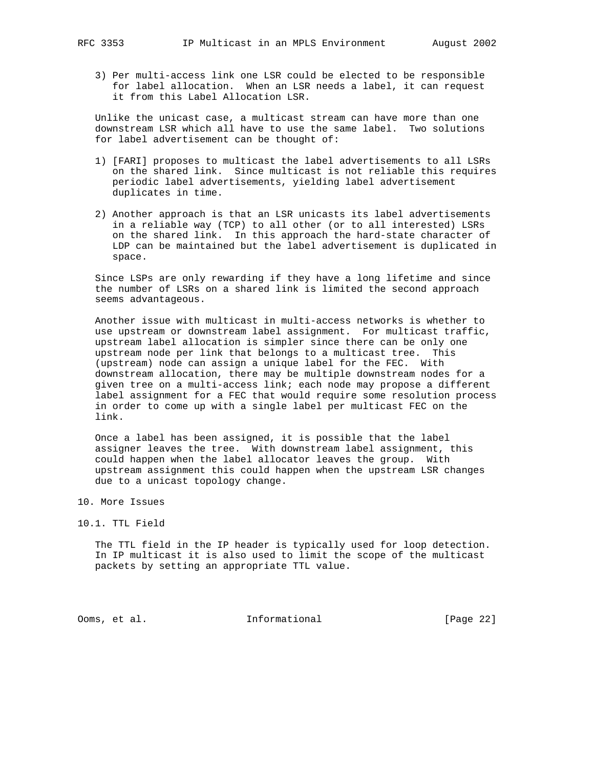3) Per multi-access link one LSR could be elected to be responsible for label allocation. When an LSR needs a label, it can request it from this Label Allocation LSR.

 Unlike the unicast case, a multicast stream can have more than one downstream LSR which all have to use the same label. Two solutions for label advertisement can be thought of:

- 1) [FARI] proposes to multicast the label advertisements to all LSRs on the shared link. Since multicast is not reliable this requires periodic label advertisements, yielding label advertisement duplicates in time.
- 2) Another approach is that an LSR unicasts its label advertisements in a reliable way (TCP) to all other (or to all interested) LSRs on the shared link. In this approach the hard-state character of LDP can be maintained but the label advertisement is duplicated in space.

 Since LSPs are only rewarding if they have a long lifetime and since the number of LSRs on a shared link is limited the second approach seems advantageous.

 Another issue with multicast in multi-access networks is whether to use upstream or downstream label assignment. For multicast traffic, upstream label allocation is simpler since there can be only one upstream node per link that belongs to a multicast tree. This (upstream) node can assign a unique label for the FEC. With downstream allocation, there may be multiple downstream nodes for a given tree on a multi-access link; each node may propose a different label assignment for a FEC that would require some resolution process in order to come up with a single label per multicast FEC on the link.

 Once a label has been assigned, it is possible that the label assigner leaves the tree. With downstream label assignment, this could happen when the label allocator leaves the group. With upstream assignment this could happen when the upstream LSR changes due to a unicast topology change.

- 10. More Issues
- 10.1. TTL Field

 The TTL field in the IP header is typically used for loop detection. In IP multicast it is also used to limit the scope of the multicast packets by setting an appropriate TTL value.

Ooms, et al. 1nformational [Page 22]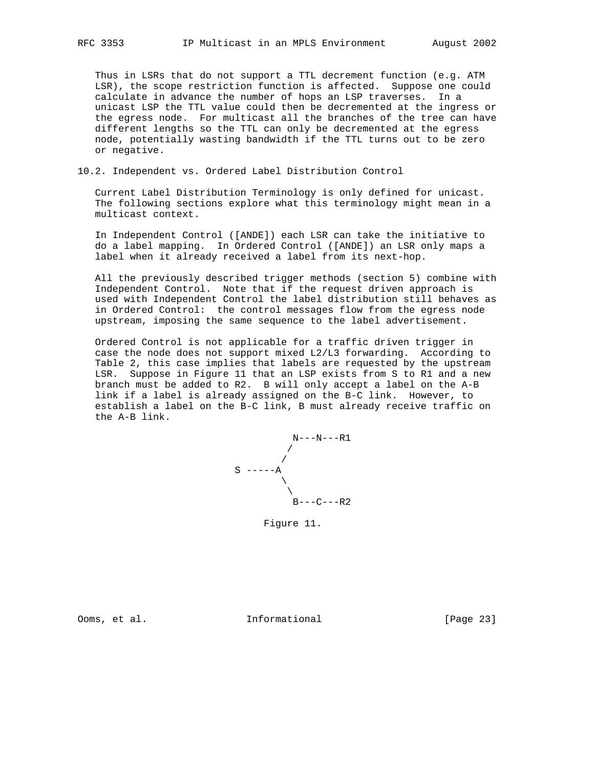Thus in LSRs that do not support a TTL decrement function (e.g. ATM LSR), the scope restriction function is affected. Suppose one could calculate in advance the number of hops an LSP traverses. In a unicast LSP the TTL value could then be decremented at the ingress or the egress node. For multicast all the branches of the tree can have different lengths so the TTL can only be decremented at the egress node, potentially wasting bandwidth if the TTL turns out to be zero or negative.

### 10.2. Independent vs. Ordered Label Distribution Control

 Current Label Distribution Terminology is only defined for unicast. The following sections explore what this terminology might mean in a multicast context.

 In Independent Control ([ANDE]) each LSR can take the initiative to do a label mapping. In Ordered Control ([ANDE]) an LSR only maps a label when it already received a label from its next-hop.

 All the previously described trigger methods (section 5) combine with Independent Control. Note that if the request driven approach is used with Independent Control the label distribution still behaves as in Ordered Control: the control messages flow from the egress node upstream, imposing the same sequence to the label advertisement.

 Ordered Control is not applicable for a traffic driven trigger in case the node does not support mixed L2/L3 forwarding. According to Table 2, this case implies that labels are requested by the upstream LSR. Suppose in Figure 11 that an LSP exists from S to R1 and a new branch must be added to R2. B will only accept a label on the A-B link if a label is already assigned on the B-C link. However, to establish a label on the B-C link, B must already receive traffic on the A-B link.



Figure 11.

Ooms, et al. Informational [Page 23]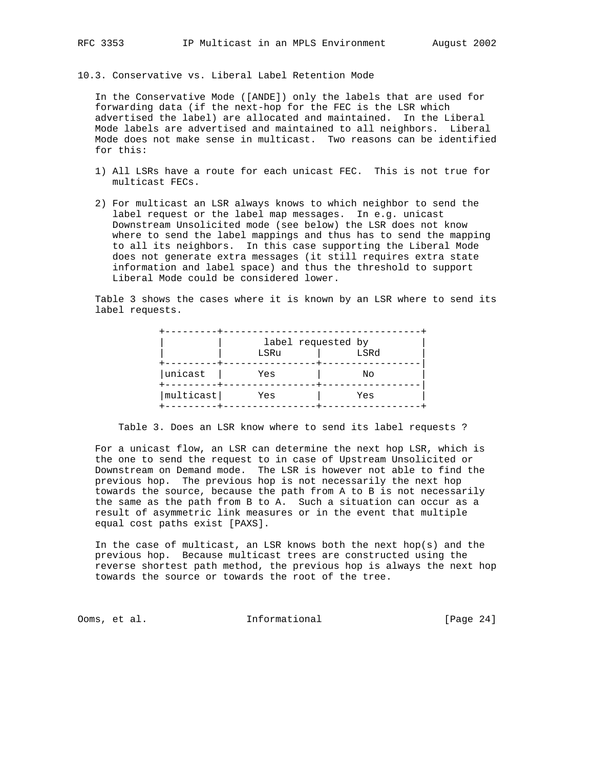10.3. Conservative vs. Liberal Label Retention Mode

 In the Conservative Mode ([ANDE]) only the labels that are used for forwarding data (if the next-hop for the FEC is the LSR which advertised the label) are allocated and maintained. In the Liberal Mode labels are advertised and maintained to all neighbors. Liberal Mode does not make sense in multicast. Two reasons can be identified for this:

- 1) All LSRs have a route for each unicast FEC. This is not true for multicast FECs.
- 2) For multicast an LSR always knows to which neighbor to send the label request or the label map messages. In e.g. unicast Downstream Unsolicited mode (see below) the LSR does not know where to send the label mappings and thus has to send the mapping to all its neighbors. In this case supporting the Liberal Mode does not generate extra messages (it still requires extra state information and label space) and thus the threshold to support Liberal Mode could be considered lower.

 Table 3 shows the cases where it is known by an LSR where to send its label requests.

|           | label requested by<br>LSRu | LSRd |
|-----------|----------------------------|------|
| unicast   | Yes                        | No   |
| multicast | Yes                        | Yes  |

Table 3. Does an LSR know where to send its label requests ?

 For a unicast flow, an LSR can determine the next hop LSR, which is the one to send the request to in case of Upstream Unsolicited or Downstream on Demand mode. The LSR is however not able to find the previous hop. The previous hop is not necessarily the next hop towards the source, because the path from A to B is not necessarily the same as the path from B to A. Such a situation can occur as a result of asymmetric link measures or in the event that multiple equal cost paths exist [PAXS].

 In the case of multicast, an LSR knows both the next hop(s) and the previous hop. Because multicast trees are constructed using the reverse shortest path method, the previous hop is always the next hop towards the source or towards the root of the tree.

Ooms, et al. Informational [Page 24]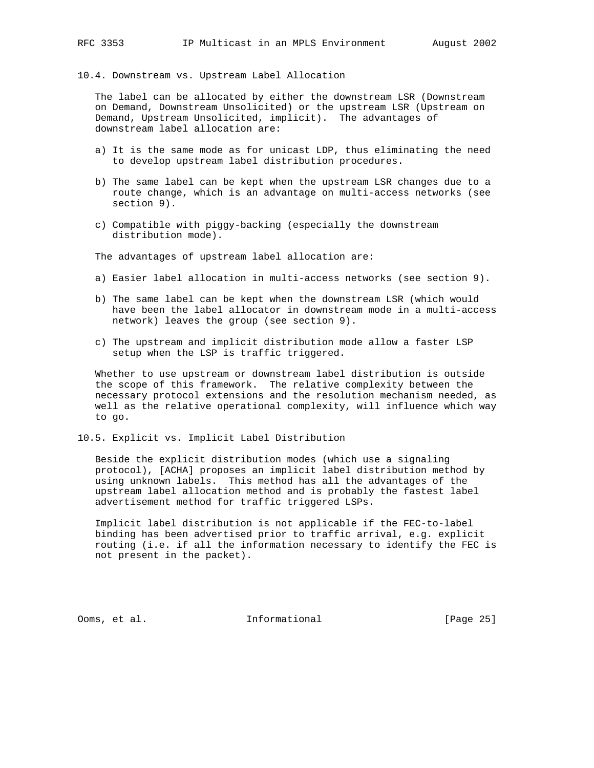10.4. Downstream vs. Upstream Label Allocation

 The label can be allocated by either the downstream LSR (Downstream on Demand, Downstream Unsolicited) or the upstream LSR (Upstream on Demand, Upstream Unsolicited, implicit). The advantages of downstream label allocation are:

- a) It is the same mode as for unicast LDP, thus eliminating the need to develop upstream label distribution procedures.
- b) The same label can be kept when the upstream LSR changes due to a route change, which is an advantage on multi-access networks (see section 9).
- c) Compatible with piggy-backing (especially the downstream distribution mode).

The advantages of upstream label allocation are:

- a) Easier label allocation in multi-access networks (see section 9).
- b) The same label can be kept when the downstream LSR (which would have been the label allocator in downstream mode in a multi-access network) leaves the group (see section 9).
- c) The upstream and implicit distribution mode allow a faster LSP setup when the LSP is traffic triggered.

 Whether to use upstream or downstream label distribution is outside the scope of this framework. The relative complexity between the necessary protocol extensions and the resolution mechanism needed, as well as the relative operational complexity, will influence which way to go.

10.5. Explicit vs. Implicit Label Distribution

 Beside the explicit distribution modes (which use a signaling protocol), [ACHA] proposes an implicit label distribution method by using unknown labels. This method has all the advantages of the upstream label allocation method and is probably the fastest label advertisement method for traffic triggered LSPs.

 Implicit label distribution is not applicable if the FEC-to-label binding has been advertised prior to traffic arrival, e.g. explicit routing (i.e. if all the information necessary to identify the FEC is not present in the packet).

Ooms, et al. Informational [Page 25]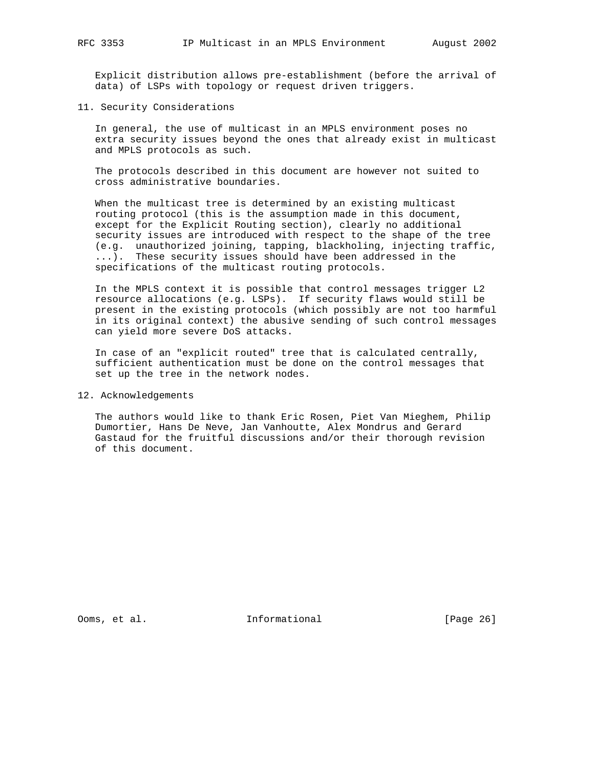Explicit distribution allows pre-establishment (before the arrival of data) of LSPs with topology or request driven triggers.

11. Security Considerations

 In general, the use of multicast in an MPLS environment poses no extra security issues beyond the ones that already exist in multicast and MPLS protocols as such.

 The protocols described in this document are however not suited to cross administrative boundaries.

 When the multicast tree is determined by an existing multicast routing protocol (this is the assumption made in this document, except for the Explicit Routing section), clearly no additional security issues are introduced with respect to the shape of the tree (e.g. unauthorized joining, tapping, blackholing, injecting traffic, ...). These security issues should have been addressed in the specifications of the multicast routing protocols.

 In the MPLS context it is possible that control messages trigger L2 resource allocations (e.g. LSPs). If security flaws would still be present in the existing protocols (which possibly are not too harmful in its original context) the abusive sending of such control messages can yield more severe DoS attacks.

 In case of an "explicit routed" tree that is calculated centrally, sufficient authentication must be done on the control messages that set up the tree in the network nodes.

12. Acknowledgements

 The authors would like to thank Eric Rosen, Piet Van Mieghem, Philip Dumortier, Hans De Neve, Jan Vanhoutte, Alex Mondrus and Gerard Gastaud for the fruitful discussions and/or their thorough revision of this document.

Ooms, et al. **Informational** [Page 26]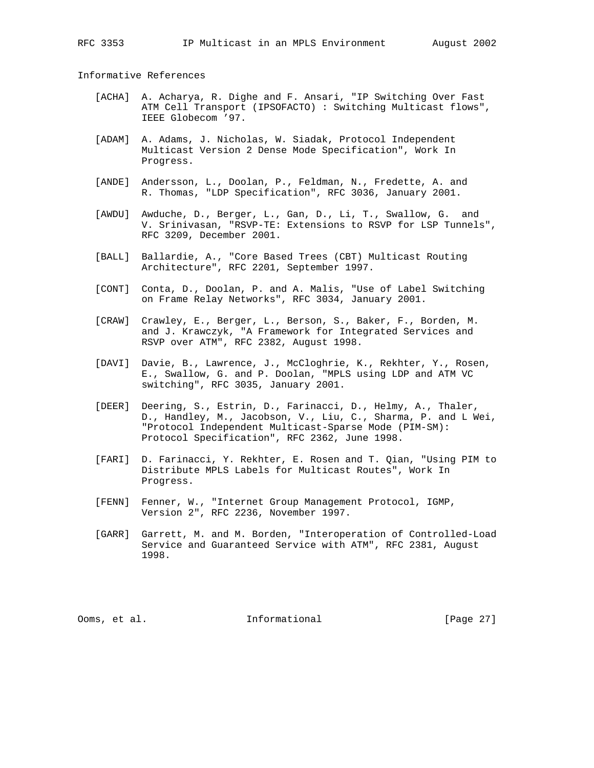Informative References

- [ACHA] A. Acharya, R. Dighe and F. Ansari, "IP Switching Over Fast ATM Cell Transport (IPSOFACTO) : Switching Multicast flows", IEEE Globecom '97.
- [ADAM] A. Adams, J. Nicholas, W. Siadak, Protocol Independent Multicast Version 2 Dense Mode Specification", Work In Progress.
- [ANDE] Andersson, L., Doolan, P., Feldman, N., Fredette, A. and R. Thomas, "LDP Specification", RFC 3036, January 2001.
- [AWDU] Awduche, D., Berger, L., Gan, D., Li, T., Swallow, G. and V. Srinivasan, "RSVP-TE: Extensions to RSVP for LSP Tunnels", RFC 3209, December 2001.
- [BALL] Ballardie, A., "Core Based Trees (CBT) Multicast Routing Architecture", RFC 2201, September 1997.
- [CONT] Conta, D., Doolan, P. and A. Malis, "Use of Label Switching on Frame Relay Networks", RFC 3034, January 2001.
- [CRAW] Crawley, E., Berger, L., Berson, S., Baker, F., Borden, M. and J. Krawczyk, "A Framework for Integrated Services and RSVP over ATM", RFC 2382, August 1998.
- [DAVI] Davie, B., Lawrence, J., McCloghrie, K., Rekhter, Y., Rosen, E., Swallow, G. and P. Doolan, "MPLS using LDP and ATM VC switching", RFC 3035, January 2001.
- [DEER] Deering, S., Estrin, D., Farinacci, D., Helmy, A., Thaler, D., Handley, M., Jacobson, V., Liu, C., Sharma, P. and L Wei, "Protocol Independent Multicast-Sparse Mode (PIM-SM): Protocol Specification", RFC 2362, June 1998.
- [FARI] D. Farinacci, Y. Rekhter, E. Rosen and T. Qian, "Using PIM to Distribute MPLS Labels for Multicast Routes", Work In Progress.
- [FENN] Fenner, W., "Internet Group Management Protocol, IGMP, Version 2", RFC 2236, November 1997.
- [GARR] Garrett, M. and M. Borden, "Interoperation of Controlled-Load Service and Guaranteed Service with ATM", RFC 2381, August 1998.

Ooms, et al. Informational [Page 27]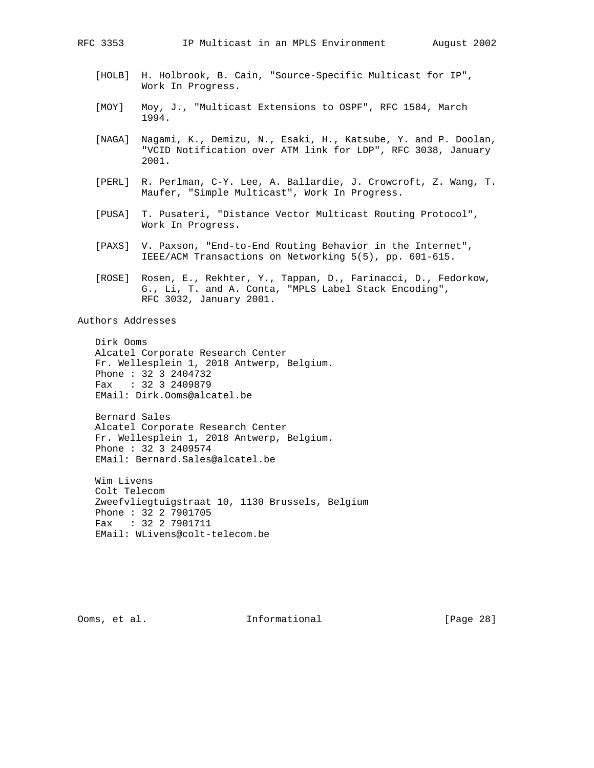- [HOLB] H. Holbrook, B. Cain, "Source-Specific Multicast for IP", Work In Progress.
- [MOY] Moy, J., "Multicast Extensions to OSPF", RFC 1584, March 1994.
- [NAGA] Nagami, K., Demizu, N., Esaki, H., Katsube, Y. and P. Doolan, "VCID Notification over ATM link for LDP", RFC 3038, January 2001.
- [PERL] R. Perlman, C-Y. Lee, A. Ballardie, J. Crowcroft, Z. Wang, T. Maufer, "Simple Multicast", Work In Progress.
- [PUSA] T. Pusateri, "Distance Vector Multicast Routing Protocol", Work In Progress.
- [PAXS] V. Paxson, "End-to-End Routing Behavior in the Internet", IEEE/ACM Transactions on Networking 5(5), pp. 601-615.
- [ROSE] Rosen, E., Rekhter, Y., Tappan, D., Farinacci, D., Fedorkow, G., Li, T. and A. Conta, "MPLS Label Stack Encoding", RFC 3032, January 2001.

Authors Addresses

 Dirk Ooms Alcatel Corporate Research Center Fr. Wellesplein 1, 2018 Antwerp, Belgium. Phone : 32 3 2404732 Fax : 32 3 2409879 EMail: Dirk.Ooms@alcatel.be

 Bernard Sales Alcatel Corporate Research Center Fr. Wellesplein 1, 2018 Antwerp, Belgium. Phone : 32 3 2409574 EMail: Bernard.Sales@alcatel.be

 Wim Livens Colt Telecom Zweefvliegtuigstraat 10, 1130 Brussels, Belgium Phone : 32 2 7901705 Fax : 32 2 7901711 EMail: WLivens@colt-telecom.be

Ooms, et al. Informational [Page 28]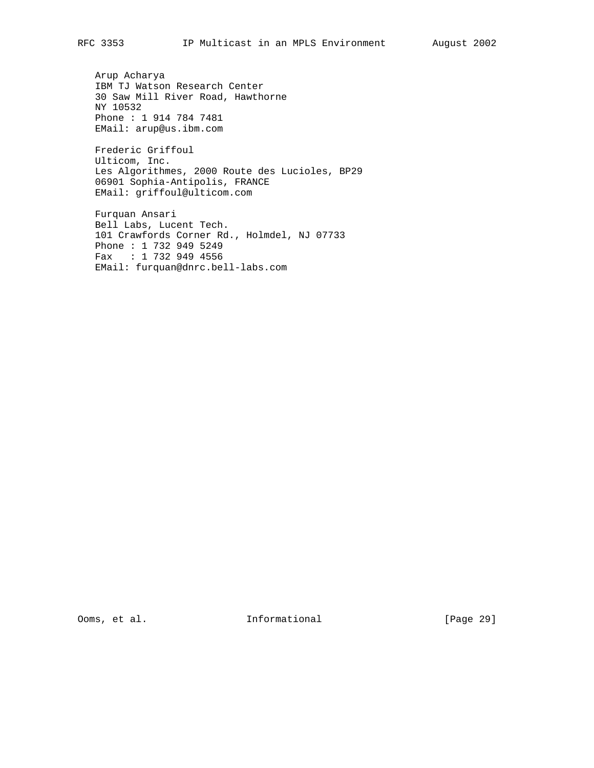Arup Acharya IBM TJ Watson Research Center 30 Saw Mill River Road, Hawthorne NY 10532 Phone : 1 914 784 7481 EMail: arup@us.ibm.com

 Frederic Griffoul Ulticom, Inc. Les Algorithmes, 2000 Route des Lucioles, BP29 06901 Sophia-Antipolis, FRANCE EMail: griffoul@ulticom.com

 Furquan Ansari Bell Labs, Lucent Tech. 101 Crawfords Corner Rd., Holmdel, NJ 07733 Phone : 1 732 949 5249 Fax : 1 732 949 4556 EMail: furquan@dnrc.bell-labs.com

Ooms, et al. 1nformational [Page 29]